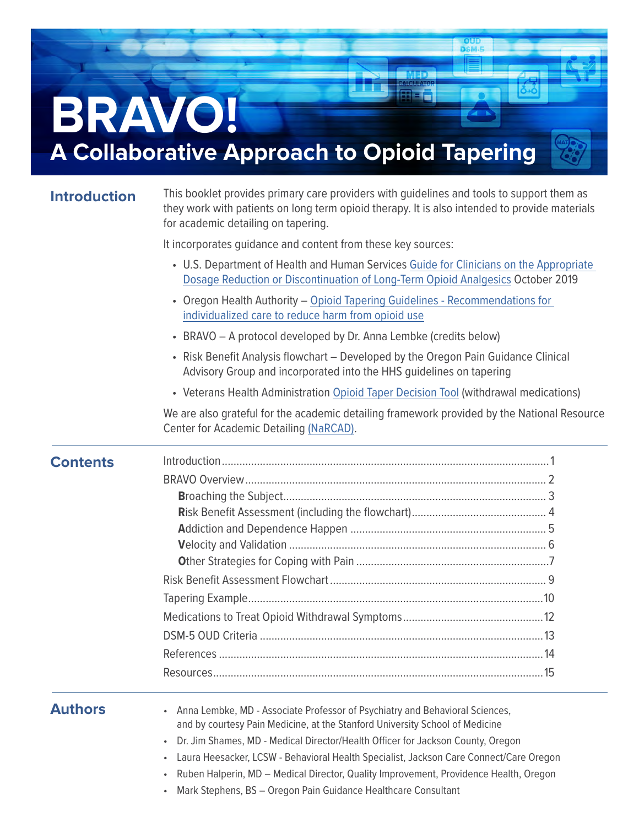

#### **Introduction**

This booklet provides primary care providers with guidelines and tools to support them as they work with patients on long term opioid therapy. It is also intended to provide materials for academic detailing on tapering.

It incorporates guidance and content from these key sources:

|                 | it incorporates quidance and content from these key sources:                                                                                                              |
|-----------------|---------------------------------------------------------------------------------------------------------------------------------------------------------------------------|
|                 | • U.S. Department of Health and Human Services Guide for Clinicians on the Appropriate<br>Dosage Reduction or Discontinuation of Long-Term Opioid Analgesics October 2019 |
|                 | • Oregon Health Authority - Opioid Tapering Guidelines - Recommendations for<br>individualized care to reduce harm from opioid use                                        |
|                 | • BRAVO - A protocol developed by Dr. Anna Lembke (credits below)                                                                                                         |
|                 | • Risk Benefit Analysis flowchart - Developed by the Oregon Pain Guidance Clinical<br>Advisory Group and incorporated into the HHS guidelines on tapering                 |
|                 | • Veterans Health Administration Opioid Taper Decision Tool (withdrawal medications)                                                                                      |
|                 | We are also grateful for the academic detailing framework provided by the National Resource<br>Center for Academic Detailing (NaRCAD).                                    |
| <b>Contents</b> |                                                                                                                                                                           |
|                 |                                                                                                                                                                           |
|                 |                                                                                                                                                                           |
|                 |                                                                                                                                                                           |
|                 |                                                                                                                                                                           |
|                 |                                                                                                                                                                           |
|                 |                                                                                                                                                                           |
|                 |                                                                                                                                                                           |
|                 |                                                                                                                                                                           |
|                 |                                                                                                                                                                           |
|                 |                                                                                                                                                                           |
|                 |                                                                                                                                                                           |
|                 |                                                                                                                                                                           |
| <b>Authors</b>  | Anna Lembke, MD - Associate Professor of Psychiatry and Behavioral Sciences,<br>and by courtesy Pain Medicine, at the Stanford University School of Medicine              |

- Dr. Jim Shames, MD Medical Director/Health Officer for Jackson County, Oregon
- Laura Heesacker, LCSW Behavioral Health Specialist, Jackson Care Connect/Care Oregon
- Ruben Halperin, MD Medical Director, Quality Improvement, Providence Health, Oregon
- Mark Stephens, BS Oregon Pain Guidance Healthcare Consultant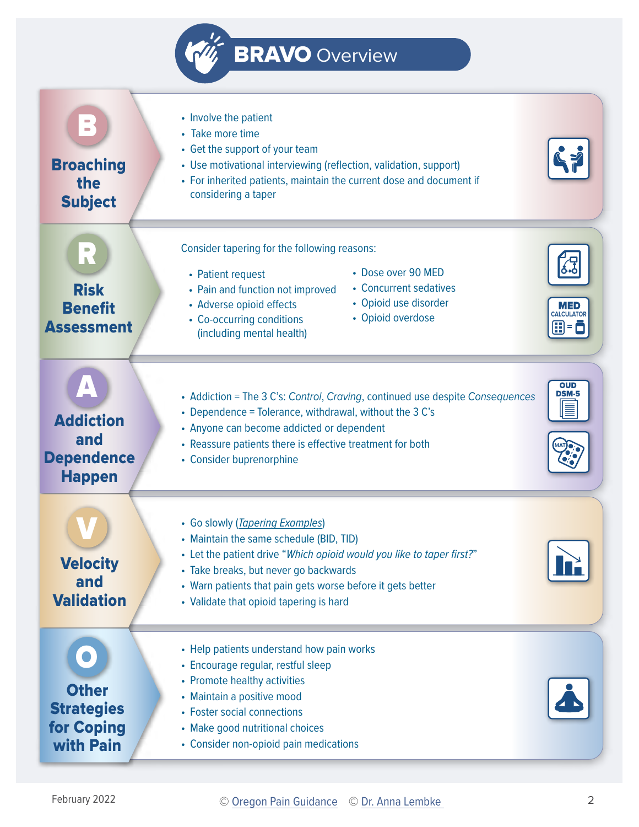

<span id="page-1-0"></span>

| $\sim$<br><b>Broaching</b><br>the<br><b>Subject</b>                        | • Involve the patient<br>• Take more time<br>• Get the support of your team<br>• Use motivational interviewing (reflection, validation, support)<br>• For inherited patients, maintain the current dose and document if<br>considering a taper                                                        |                                          |
|----------------------------------------------------------------------------|-------------------------------------------------------------------------------------------------------------------------------------------------------------------------------------------------------------------------------------------------------------------------------------------------------|------------------------------------------|
| R<br><b>Risk</b><br><b>Benefit</b><br><b>Assessment</b>                    | Consider tapering for the following reasons:<br>• Dose over 90 MED<br>• Patient request<br>• Concurrent sedatives<br>• Pain and function not improved<br>• Opioid use disorder<br>• Adverse opioid effects<br>• Opioid overdose<br>• Co-occurring conditions<br>(including mental health)             | <b>MED</b><br><b>CALCULATOR</b><br>8 - 8 |
| <b>Addiction</b><br>and<br><b>Dependence</b><br><b>Happen</b>              | • Addiction = The 3 C's: Control, Craving, continued use despite Consequences<br>• Dependence = Tolerance, withdrawal, without the 3 C's<br>• Anyone can become addicted or dependent<br>• Reassure patients there is effective treatment for both<br>• Consider buprenorphine                        | <b>OUD</b><br><b>DSM-5</b><br>≣          |
| <b>Velocity</b><br>and<br><b>Validation</b>                                | • Go slowly (Tapering Examples)<br>• Maintain the same schedule (BID, TID)<br>• Let the patient drive "Which opioid would you like to taper first?"<br>• Take breaks, but never go backwards<br>• Warn patients that pain gets worse before it gets better<br>• Validate that opioid tapering is hard | $\mathbf{E}$                             |
| <b>Other</b><br><b>Strategies</b><br><b>for Coping</b><br><b>with Pain</b> | • Help patients understand how pain works<br>• Encourage regular, restful sleep<br>• Promote healthy activities<br>• Maintain a positive mood<br>• Foster social connections<br>• Make good nutritional choices<br>• Consider non-opioid pain medications                                             |                                          |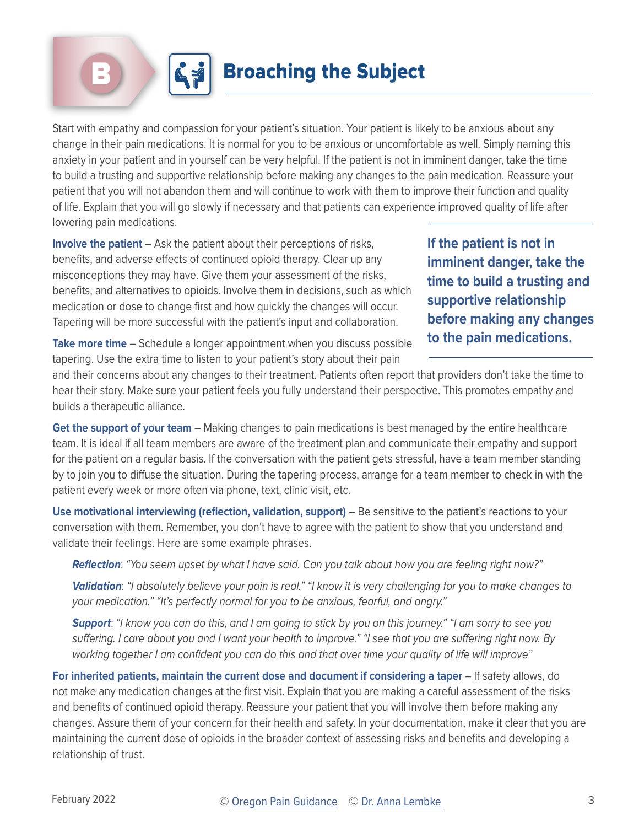<span id="page-2-0"></span>

Start with empathy and compassion for your patient's situation. Your patient is likely to be anxious about any change in their pain medications. It is normal for you to be anxious or uncomfortable as well. Simply naming this anxiety in your patient and in yourself can be very helpful. If the patient is not in imminent danger, take the time to build a trusting and supportive relationship before making any changes to the pain medication. Reassure your patient that you will not abandon them and will continue to work with them to improve their function and quality of life. Explain that you will go slowly if necessary and that patients can experience improved quality of life after lowering pain medications.

**Involve the patient** – Ask the patient about their perceptions of risks, benefits, and adverse effects of continued opioid therapy. Clear up any misconceptions they may have. Give them your assessment of the risks, benefits, and alternatives to opioids. Involve them in decisions, such as which medication or dose to change first and how quickly the changes will occur. Tapering will be more successful with the patient's input and collaboration.

**If the patient is not in imminent danger, take the time to build a trusting and supportive relationship before making any changes to the pain medications.**

**Take more time** – Schedule a longer appointment when you discuss possible tapering. Use the extra time to listen to your patient's story about their pain

and their concerns about any changes to their treatment. Patients often report that providers don't take the time to hear their story. Make sure your patient feels you fully understand their perspective. This promotes empathy and builds a therapeutic alliance.

**Get the support of your team** – Making changes to pain medications is best managed by the entire healthcare team. It is ideal if all team members are aware of the treatment plan and communicate their empathy and support for the patient on a regular basis. If the conversation with the patient gets stressful, have a team member standing by to join you to diffuse the situation. During the tapering process, arrange for a team member to check in with the patient every week or more often via phone, text, clinic visit, etc.

**Use motivational interviewing (reflection, validation, support)** – Be sensitive to the patient's reactions to your conversation with them. Remember, you don't have to agree with the patient to show that you understand and validate their feelings. Here are some example phrases.

**Reflection**: "You seem upset by what I have said. Can you talk about how you are feeling right now?"

**Validation**: "I absolutely believe your pain is real." "I know it is very challenging for you to make changes to your medication." "It's perfectly normal for you to be anxious, fearful, and angry."

**Support**: "I know you can do this, and I am going to stick by you on this journey." "I am sorry to see you suffering. I care about you and I want your health to improve." "I see that you are suffering right now. By working together I am confident you can do this and that over time your quality of life will improve"

**For inherited patients, maintain the current dose and document if considering a taper** – If safety allows, do not make any medication changes at the first visit. Explain that you are making a careful assessment of the risks and benefits of continued opioid therapy. Reassure your patient that you will involve them before making any changes. Assure them of your concern for their health and safety. In your documentation, make it clear that you are maintaining the current dose of opioids in the broader context of assessing risks and benefits and developing a relationship of trust.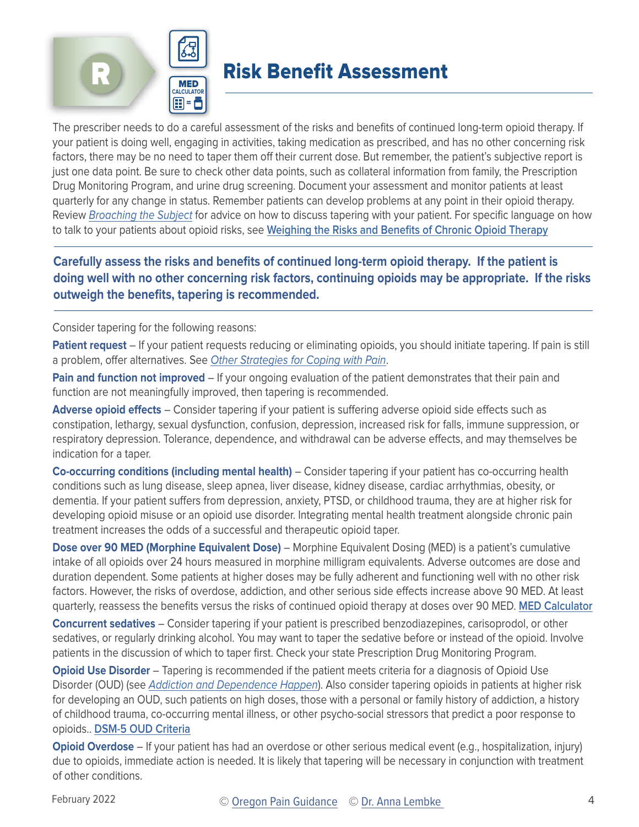<span id="page-3-0"></span>



### R Risk Benefit Assessment

The prescriber needs to do a careful assessment of the risks and benefits of continued long-term opioid therapy. If your patient is doing well, engaging in activities, taking medication as prescribed, and has no other concerning risk factors, there may be no need to taper them off their current dose. But remember, the patient's subjective report is just one data point. Be sure to check other data points, such as collateral information from family, the Prescription Drug Monitoring Program, and urine drug screening. Document your assessment and monitor patients at least quarterly for any change in status. Remember patients can develop problems at any point in their opioid therapy. Review [Broaching the Subject](#page-2-0) for advice on how to discuss tapering with your patient. For specific language on how to talk to your patients about opioid risks, see **[Weighing the Risks and Benefits of Chronic Opioid Therapy](https://www.aafp.org/afp/2016/0615/p982.html)**

#### **Carefully assess the risks and benefits of continued long-term opioid therapy. If the patient is doing well with no other concerning risk factors, continuing opioids may be appropriate. If the risks outweigh the benefits, tapering is recommended.**

Consider tapering for the following reasons:

**Patient request** – If your patient requests reducing or eliminating opioids, you should initiate tapering. If pain is still a problem, offer alternatives. See [Other Strategies for Coping with Pain](#page-6-0).

**Pain and function not improved** – If your ongoing evaluation of the patient demonstrates that their pain and function are not meaningfully improved, then tapering is recommended.

**Adverse opioid effects** – Consider tapering if your patient is suffering adverse opioid side effects such as constipation, lethargy, sexual dysfunction, confusion, depression, increased risk for falls, immune suppression, or respiratory depression. Tolerance, dependence, and withdrawal can be adverse effects, and may themselves be indication for a taper.

**Co-occurring conditions (including mental health)** – Consider tapering if your patient has co-occurring health conditions such as lung disease, sleep apnea, liver disease, kidney disease, cardiac arrhythmias, obesity, or dementia. If your patient suffers from depression, anxiety, PTSD, or childhood trauma, they are at higher risk for developing opioid misuse or an opioid use disorder. Integrating mental health treatment alongside chronic pain treatment increases the odds of a successful and therapeutic opioid taper.

**Dose over 90 MED (Morphine Equivalent Dose)** – Morphine Equivalent Dosing (MED) is a patient's cumulative intake of all opioids over 24 hours measured in morphine milligram equivalents. Adverse outcomes are dose and duration dependent. Some patients at higher doses may be fully adherent and functioning well with no other risk factors. However, the risks of overdose, addiction, and other serious side effects increase above 90 MED. At least quarterly, reassess the benefits versus the risks of continued opioid therapy at doses over 90 MED. **[MED Calculator](https://www.oregonpainguidance.org/opioidmedcalculator/)**

**Concurrent sedatives** – Consider tapering if your patient is prescribed benzodiazepines, carisoprodol, or other sedatives, or regularly drinking alcohol. You may want to taper the sedative before or instead of the opioid. Involve patients in the discussion of which to taper first. Check your state Prescription Drug Monitoring Program.

**Opioid Use Disorder** – Tapering is recommended if the patient meets criteria for a diagnosis of Opioid Use Disorder (OUD) (see [Addiction and Dependence Happen](#page-4-0)). Also consider tapering opioids in patients at higher risk for developing an OUD, such patients on high doses, those with a personal or family history of addiction, a history of childhood trauma, co-occurring mental illness, or other psycho-social stressors that predict a poor response to opioids.. **[DSM-5 OUD Criteria](#page-12-0)**

**Opioid Overdose** – If your patient has had an overdose or other serious medical event (e.g., hospitalization, injury) due to opioids, immediate action is needed. It is likely that tapering will be necessary in conjunction with treatment of other conditions.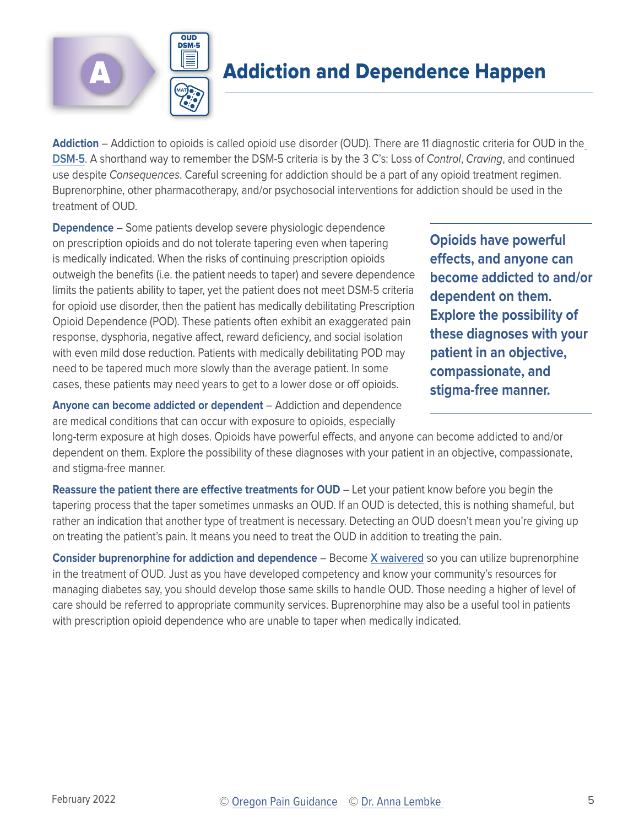<span id="page-4-0"></span>



# **Addiction and Dependence Happen**

**Addiction** – Addiction to opioids is called opioid use disorder (OUD). There are 11 diagnostic criteria for OUD in the **[DSM-5](#page-12-0)**. A shorthand way to remember the DSM-5 criteria is by the 3 C's: Loss of Control, Craving, and continued use despite Consequences. Careful screening for addiction should be a part of any opioid treatment regimen. Buprenorphine, other pharmacotherapy, and/or psychosocial interventions for addiction should be used in the treatment of OUD.

**Dependence** – Some patients develop severe physiologic dependence on prescription opioids and do not tolerate tapering even when tapering is medically indicated. When the risks of continuing prescription opioids outweigh the benefits (i.e. the patient needs to taper) and severe dependence limits the patients ability to taper, yet the patient does not meet DSM-5 criteria for opioid use disorder, then the patient has medically debilitating Prescription Opioid Dependence (POD). These patients often exhibit an exaggerated pain response, dysphoria, negative affect, reward deficiency, and social isolation with even mild dose reduction. Patients with medically debilitating POD may need to be tapered much more slowly than the average patient. In some cases, these patients may need years to get to a lower dose or off opioids.

**Opioids have powerful effects, and anyone can become addicted to and/or dependent on them. Explore the possibility of these diagnoses with your patient in an objective, compassionate, and stigma-free manner.** 

**Anyone can become addicted or dependent** – Addiction and dependence are medical conditions that can occur with exposure to opioids, especially

long-term exposure at high doses. Opioids have powerful effects, and anyone can become addicted to and/or dependent on them. Explore the possibility of these diagnoses with your patient in an objective, compassionate, and stigma-free manner.

**Reassure the patient there are effective treatments for OUD – Let your patient know before you begin the** tapering process that the taper sometimes unmasks an OUD. If an OUD is detected, this is nothing shameful, but rather an indication that another type of treatment is necessary. Detecting an OUD doesn't mean you're giving up on treating the patient's pain. It means you need to treat the OUD in addition to treating the pain.

**Consider buprenorphine for addiction and dependence** – Become **[X waivered](https://pcssnow.org/medication-assisted-treatment/waiver-training-for-physicians/steps-to-obtain-your-mat-waiver-physicians/)** so you can utilize buprenorphine in the treatment of OUD. Just as you have developed competency and know your community's resources for managing diabetes say, you should develop those same skills to handle OUD. Those needing a higher of level of care should be referred to appropriate community services. Buprenorphine may also be a useful tool in patients with prescription opioid dependence who are unable to taper when medically indicated.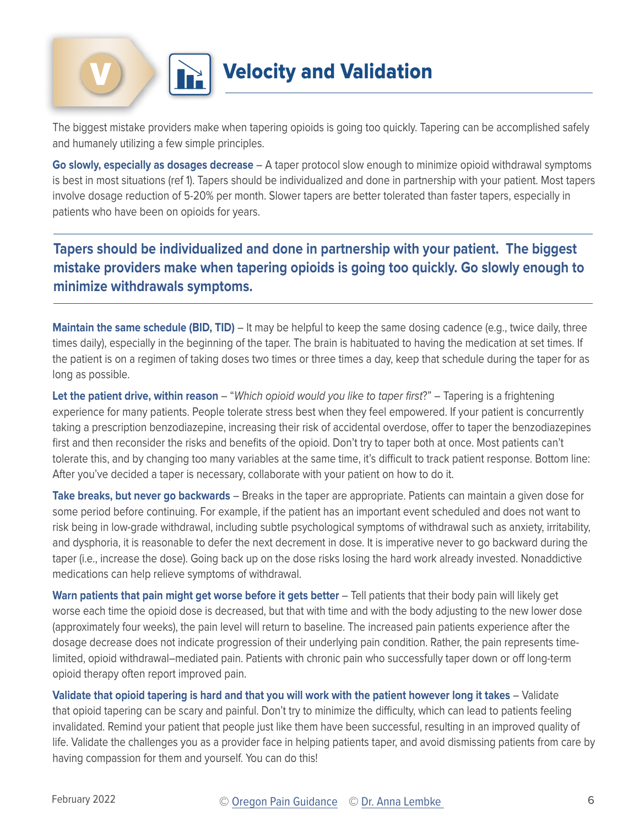<span id="page-5-0"></span>



## **Velocity and Validation**

The biggest mistake providers make when tapering opioids is going too quickly. Tapering can be accomplished safely and humanely utilizing a few simple principles.

**Go slowly, especially as dosages decrease** – A taper protocol slow enough to minimize opioid withdrawal symptoms is best in most situations (ref 1). Tapers should be individualized and done in partnership with your patient. Most tapers involve dosage reduction of 5-20% per month. Slower tapers are better tolerated than faster tapers, especially in patients who have been on opioids for years.

**Tapers should be individualized and done in partnership with your patient. The biggest mistake providers make when tapering opioids is going too quickly. Go slowly enough to minimize withdrawals symptoms.**

**Maintain the same schedule (BID, TID)** – It may be helpful to keep the same dosing cadence (e.g., twice daily, three times daily), especially in the beginning of the taper. The brain is habituated to having the medication at set times. If the patient is on a regimen of taking doses two times or three times a day, keep that schedule during the taper for as long as possible.

**Let the patient drive, within reason** – "Which opioid would you like to taper first?" – Tapering is a frightening experience for many patients. People tolerate stress best when they feel empowered. If your patient is concurrently taking a prescription benzodiazepine, increasing their risk of accidental overdose, offer to taper the benzodiazepines first and then reconsider the risks and benefits of the opioid. Don't try to taper both at once. Most patients can't tolerate this, and by changing too many variables at the same time, it's difficult to track patient response. Bottom line: After you've decided a taper is necessary, collaborate with your patient on how to do it.

**Take breaks, but never go backwards** – Breaks in the taper are appropriate. Patients can maintain a given dose for some period before continuing. For example, if the patient has an important event scheduled and does not want to risk being in low-grade withdrawal, including subtle psychological symptoms of withdrawal such as anxiety, irritability, and dysphoria, it is reasonable to defer the next decrement in dose. It is imperative never to go backward during the taper (i.e., increase the dose). Going back up on the dose risks losing the hard work already invested. Nonaddictive medications can help relieve symptoms of withdrawal.

**Warn patients that pain might get worse before it gets better** – Tell patients that their body pain will likely get worse each time the opioid dose is decreased, but that with time and with the body adjusting to the new lower dose (approximately four weeks), the pain level will return to baseline. The increased pain patients experience after the dosage decrease does not indicate progression of their underlying pain condition. Rather, the pain represents timelimited, opioid withdrawal–mediated pain. Patients with chronic pain who successfully taper down or off long-term opioid therapy often report improved pain.

**Validate that opioid tapering is hard and that you will work with the patient however long it takes** – Validate that opioid tapering can be scary and painful. Don't try to minimize the difficulty, which can lead to patients feeling invalidated. Remind your patient that people just like them have been successful, resulting in an improved quality of life. Validate the challenges you as a provider face in helping patients taper, and avoid dismissing patients from care by having compassion for them and yourself. You can do this!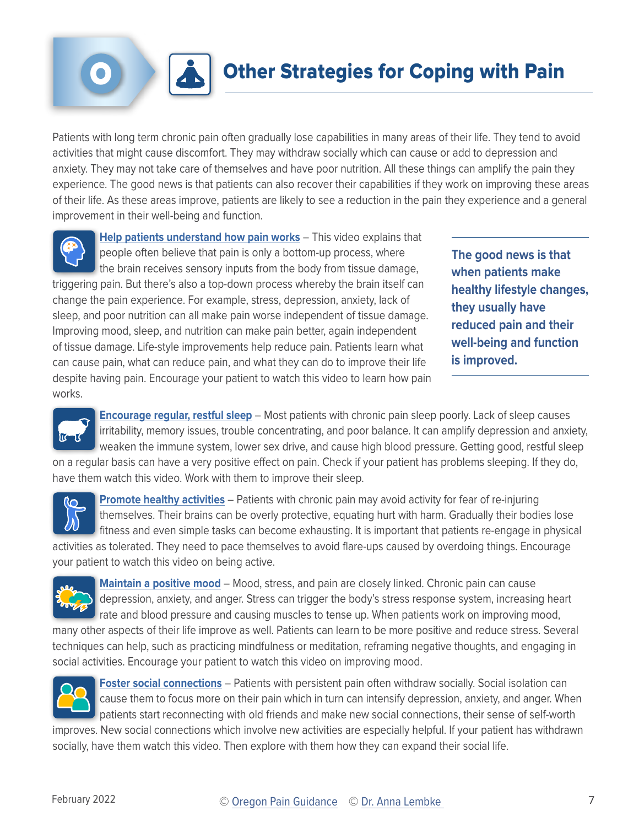# **Other Strategies for Coping with Pain**

<span id="page-6-0"></span>Patients with long term chronic pain often gradually lose capabilities in many areas of their life. They tend to avoid activities that might cause discomfort. They may withdraw socially which can cause or add to depression and anxiety. They may not take care of themselves and have poor nutrition. All these things can amplify the pain they experience. The good news is that patients can also recover their capabilities if they work on improving these areas of their life. As these areas improve, patients are likely to see a reduction in the pain they experience and a general improvement in their well-being and function.



**[Help patients understand how pain works](https://www.oregonpainguidance.org/paineducationtoolkit/understandpain/)** – This [video](https://youtu.be/bed1vcVs-Ys) explains that people often believe that pain is only a bottom-up process, where the brain receives sensory inputs from the body from tissue damage, triggering pain. But there's also a top-down process whereby the brain itself can change the pain experience. For example, stress, depression, anxiety, lack of sleep, and poor nutrition can all make pain worse independent of tissue damage. Improving mood, sleep, and nutrition can make pain better, again independent of tissue damage. Life-style improvements help reduce pain. Patients learn what can cause pain, what can reduce pain, and what they can do to improve their life despite having pain. Encourage your patient to watch this video to learn how pain

**The good news is that when patients make healthy lifestyle changes, they usually have reduced pain and their well-being and function is improved.**



works.

**[Encourage regular, restful sleep](https://www.oregonpainguidance.org/paineducationtoolkit/sleep/)** – Most patients with chronic pain sleep poorly. Lack of sleep causes irritability, memory issues, trouble concentrating, and poor balance. It can amplify depression and anxiety, weaken the immune system, lower sex drive, and cause high blood pressure. Getting good, restful sleep on a regular basis can have a very positive effect on pain. Check if your patient has problems sleeping. If they do, have them watch this video. Work with them to improve their sleep.



**[Promote healthy activities](https://www.oregonpainguidance.org/paineducationtoolkit/activity/)** - Patients with chronic pain may avoid activity for fear of re-injuring themselves. Their brains can be overly protective, equating hurt with harm. Gradually their bodies lose fitness and even simple tasks can become exhausting. It is important that patients re-engage in physical activities as tolerated. They need to pace themselves to avoid flare-ups caused by overdoing things. Encourage

your patient to watch this video on being active.



**[Maintain a positive mood](https://www.oregonpainguidance.org/paineducationtoolkit/mood/)** – Mood, stress, and pain are closely linked. Chronic pain can cause depression, anxiety, and anger. Stress can trigger the body's stress response system, increasing heart rate and blood pressure and causing muscles to tense up. When patients work on improving mood,

many other aspects of their life improve as well. Patients can learn to be more positive and reduce stress. Several techniques can help, such as practicing mindfulness or meditation, reframing negative thoughts, and engaging in social activities. Encourage your patient to watch this video on improving mood.



**[Foster social connections](https://www.oregonpainguidance.org/paineducationtoolkit/social/)** – Patients with persistent pain often withdraw socially. Social isolation can cause them to focus more on their pain which in turn can intensify depression, anxiety, and anger. When patients start reconnecting with old friends and make new social connections, their sense of self-worth improves. New social connections which involve new activities are especially helpful. If your patient has withdrawn

socially, have them watch this video. Then explore with them how they can expand their social life.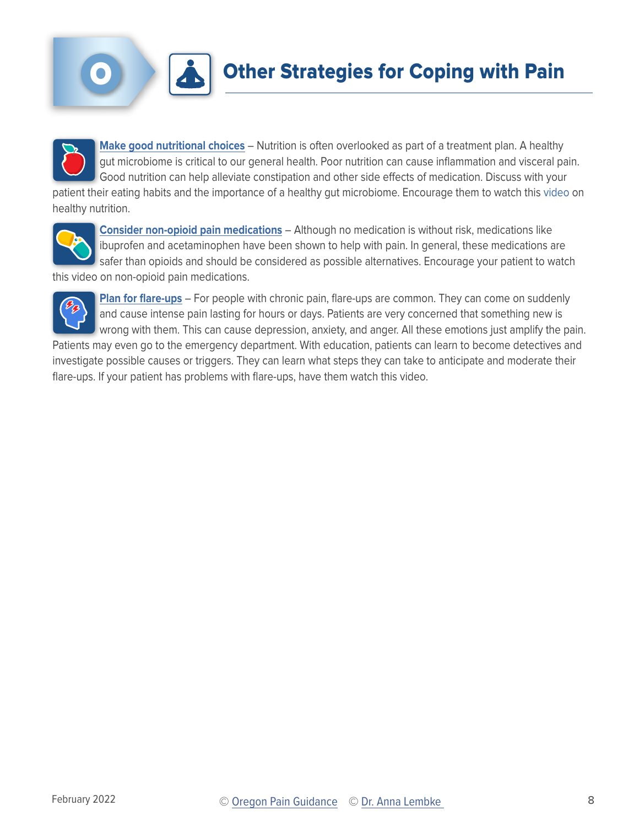

**[Make good nutritional choices](https://www.oregonpainguidance.org/paineducationtoolkit/nutrition/)** – Nutrition is often overlooked as part of a treatment plan. A healthy gut microbiome is critical to our general health. Poor nutrition can cause inflammation and visceral pain. Good nutrition can help alleviate constipation and other side effects of medication. Discuss with your patient their eating habits and the importance of a healthy gut microbiome. Encourage them to watch this video on healthy nutrition.



**[Consider non-opioid pain medications](https://www.oregonpainguidance.org/paineducationtoolkit/medications/)** – Although no medication is without risk, medications like ibuprofen and acetaminophen have been shown to help with pain. In general, these medications are safer than opioids and should be considered as possible alternatives. Encourage your patient to watch this video on non-opioid pain medications.



**[Plan for flare-ups](https://www.oregonpainguidance.org/paineducationtoolkit/flareups/)** – For people with chronic pain, flare-ups are common. They can come on suddenly and cause intense pain lasting for hours or days. Patients are very concerned that something new is wrong with them. This can cause depression, anxiety, and anger. All these emotions just amplify the pain.

Patients may even go to the emergency department. With education, patients can learn to become detectives and investigate possible causes or triggers. They can learn what steps they can take to anticipate and moderate their flare-ups. If your patient has problems with flare-ups, have them watch this video.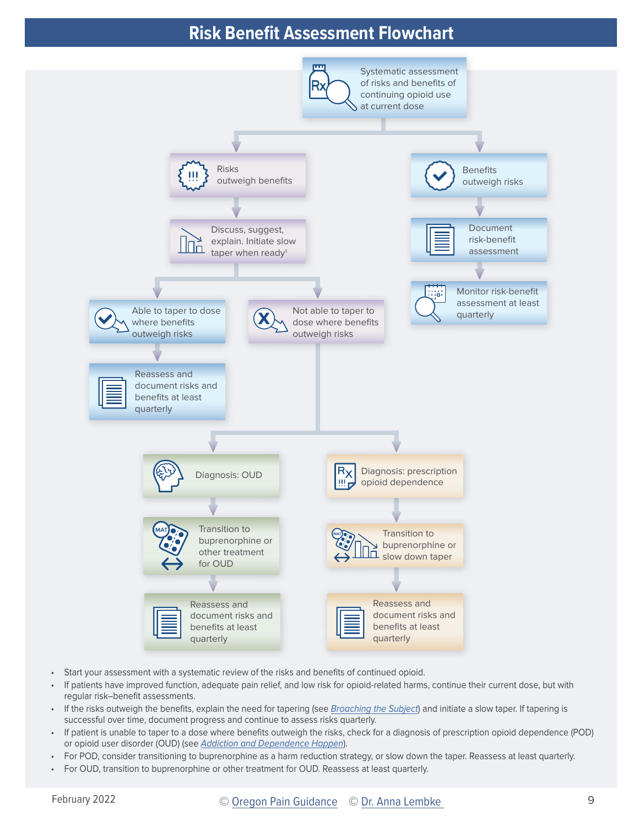### **Risk Benefit Assessment Flowchart**

<span id="page-8-0"></span>

- Start your assessment with a systematic review of the risks and benefits of continued opioid.
- If patients have improved function, adequate pain relief, and low risk for opioid-related harms, continue their current dose, but with regular risk–benefit assessments.
- If the risks outweigh the benefits, explain the need for tapering (see [Broaching the Subject](#page-2-0)) and initiate a slow taper. If tapering is successful over time, document progress and continue to assess risks quarterly.
- If patient is unable to taper to a dose where benefits outweigh the risks, check for a diagnosis of prescription opioid dependence (POD) or opioid user disorder (OUD) (see [Addiction and Dependence Happen](#page-4-0)).
- For POD, consider transitioning to buprenorphine as a harm reduction strategy, or slow down the taper. Reassess at least quarterly.
- For OUD, transition to buprenorphine or other treatment for OUD. Reassess at least quarterly.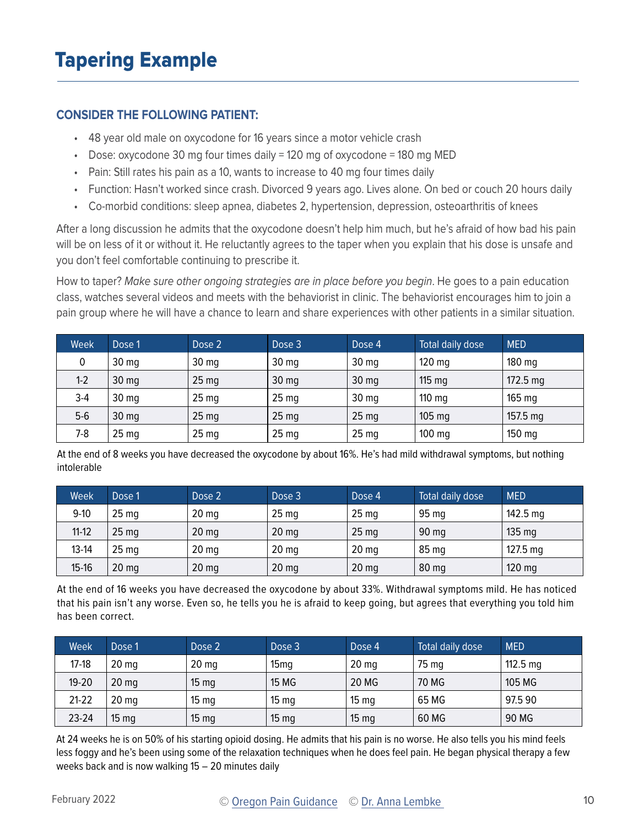#### <span id="page-9-0"></span>**CONSIDER THE FOLLOWING PATIENT:**

- 48 year old male on oxycodone for 16 years since a motor vehicle crash
- Dose: oxycodone 30 mg four times daily = 120 mg of oxycodone = 180 mg MED
- Pain: Still rates his pain as a 10, wants to increase to 40 mg four times daily
- Function: Hasn't worked since crash. Divorced 9 years ago. Lives alone. On bed or couch 20 hours daily
- Co-morbid conditions: sleep apnea, diabetes 2, hypertension, depression, osteoarthritis of knees

After a long discussion he admits that the oxycodone doesn't help him much, but he's afraid of how bad his pain will be on less of it or without it. He reluctantly agrees to the taper when you explain that his dose is unsafe and you don't feel comfortable continuing to prescribe it.

How to taper? Make sure other ongoing strategies are in place before you begin. He goes to a pain education class, watches several videos and meets with the behaviorist in clinic. The behaviorist encourages him to join a pain group where he will have a chance to learn and share experiences with other patients in a similar situation.

| Week  | Dose 1           | Dose 2           | Dose 3           | Dose 4           | Total daily dose | <b>MED</b>         |
|-------|------------------|------------------|------------------|------------------|------------------|--------------------|
| 0     | 30 <sub>mg</sub> | 30 <sub>mg</sub> | 30 <sub>mg</sub> | 30 <sub>mg</sub> | $120$ mg         | $180$ mg           |
| $1-2$ | 30 <sub>mg</sub> | 25 <sub>mg</sub> | 30 mg            | 30 <sub>mg</sub> | $115 \text{ mg}$ | $172.5 \text{ mg}$ |
| $3-4$ | 30 <sub>mg</sub> | 25 <sub>mg</sub> | 25 <sub>mg</sub> | 30 <sub>mg</sub> | $110 \text{ mg}$ | 165 <sub>mg</sub>  |
| $5-6$ | 30 <sub>mg</sub> | 25 <sub>mg</sub> | 25 <sub>mg</sub> | 25 <sub>mg</sub> | $105 \text{ mg}$ | $157.5 \text{ mg}$ |
| $7-8$ | 25 <sub>mg</sub> | 25 <sub>mg</sub> | 25 <sub>mg</sub> | 25 <sub>mg</sub> | $100$ mg         | $150$ mg           |

At the end of 8 weeks you have decreased the oxycodone by about 16%. He's had mild withdrawal symptoms, but nothing intolerable

| Week      | Dose 1           | Dose 2           | Dose 3           | Dose 4           | Total daily dose | <b>MED</b>         |
|-----------|------------------|------------------|------------------|------------------|------------------|--------------------|
| $9 - 10$  | 25 <sub>mg</sub> | 20 <sub>mg</sub> | 25 <sub>mg</sub> | 25 <sub>mg</sub> | 95 <sub>mg</sub> | $142.5 \text{ mg}$ |
| $11 - 12$ | 25 <sub>mg</sub> | $20 \text{ mg}$  | $20$ mg          | 25 <sub>mg</sub> | 90 <sub>mg</sub> | $135 \text{ mg}$   |
| $13-14$   | 25 <sub>mg</sub> | 20 <sub>mg</sub> | 20 <sub>mg</sub> | 20 <sub>mg</sub> | 85 <sub>mg</sub> | $127.5$ mg         |
| $15 - 16$ | 20 <sub>mg</sub> | 20 <sub>mg</sub> | $20$ mg          | 20 <sub>mg</sub> | 80 mg            | $120$ mg           |

At the end of 16 weeks you have decreased the oxycodone by about 33%. Withdrawal symptoms mild. He has noticed that his pain isn't any worse. Even so, he tells you he is afraid to keep going, but agrees that everything you told him has been correct.

| <b>Week</b> | Dose 1           | Dose 2           | Dose 3           | Dose 4           | Total daily dose | <b>MED</b>         |
|-------------|------------------|------------------|------------------|------------------|------------------|--------------------|
| $17-18$     | 20 <sub>mg</sub> | 20 <sub>mg</sub> | 15 <sub>mq</sub> | 20 <sub>mg</sub> | 75 mg            | $112.5 \text{ mg}$ |
| $19 - 20$   | $20$ mg          | 15 <sub>mg</sub> | <b>15 MG</b>     | 20 MG            | 70 MG            | 105 MG             |
| $21-22$     | 20 <sub>mg</sub> | $15 \text{ mg}$  | 15 <sub>mg</sub> | 15 <sub>mg</sub> | 65 MG            | 97.590             |
| $23 - 24$   | $15 \text{ mg}$  | 15 <sub>mg</sub> | 15 <sub>mg</sub> | 15 <sub>mg</sub> | 60 MG            | 90 MG              |

At 24 weeks he is on 50% of his starting opioid dosing. He admits that his pain is no worse. He also tells you his mind feels less foggy and he's been using some of the relaxation techniques when he does feel pain. He began physical therapy a few weeks back and is now walking 15 – 20 minutes daily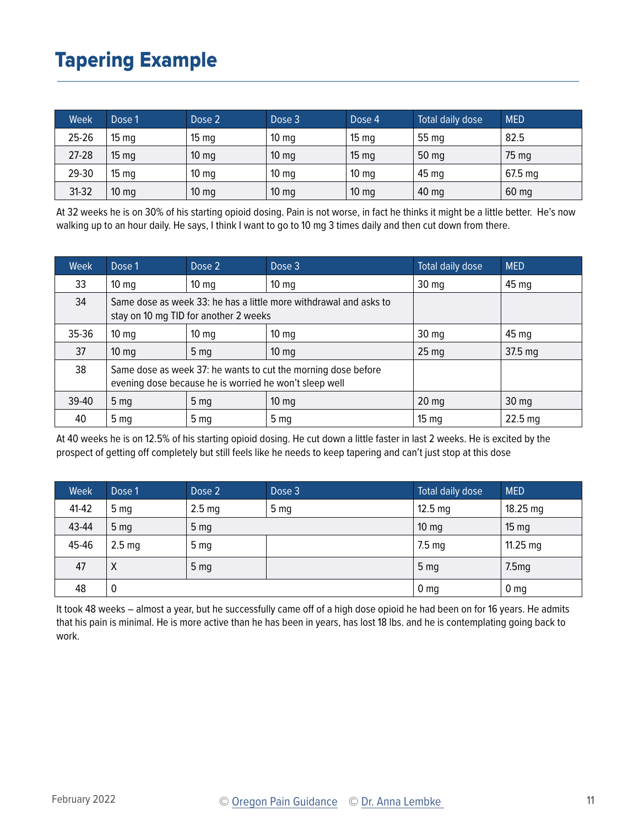## Tapering Example

| Week      | Dose 1           | Dose 2           | Dose 3           | Dose 4           | Total daily dose | <b>MED</b> |
|-----------|------------------|------------------|------------------|------------------|------------------|------------|
| 25-26     | 15 <sub>mg</sub> | 15 <sub>mg</sub> | 10 <sub>mg</sub> | $15 \text{ mg}$  | 55 mg            | 82.5       |
| $27 - 28$ | 15 <sub>mg</sub> | $10 \text{ mg}$  | 10 <sub>mg</sub> | 15 <sub>mg</sub> | 50 mg            | 75 mg      |
| 29-30     | 15 <sub>mg</sub> | 10 <sub>mg</sub> | 10 <sub>mg</sub> | 10 <sub>mg</sub> | 45 <sub>mg</sub> | $67.5$ mg  |
| $31-32$   | $10 \text{ mg}$  | $10 \text{ mg}$  | $10 \text{ mg}$  | $10 \text{ mg}$  | 40 mg            | 60 mg      |

At 32 weeks he is on 30% of his starting opioid dosing. Pain is not worse, in fact he thinks it might be a little better. He's now walking up to an hour daily. He says, I think I want to go to 10 mg 3 times daily and then cut down from there.

| Week      | Dose 1                                                                                                                  | Dose 2          | Dose 3          | Total daily dose | <b>MED</b>      |
|-----------|-------------------------------------------------------------------------------------------------------------------------|-----------------|-----------------|------------------|-----------------|
| 33        | $10 \text{ mg}$                                                                                                         | $10 \text{ mg}$ | $10 \text{ mg}$ | $30 \text{ mg}$  | 45 mg           |
| 34        | Same dose as week 33: he has a little more withdrawal and asks to<br>stay on 10 mg TID for another 2 weeks              |                 |                 |                  |                 |
| $35 - 36$ | $10 \text{ mg}$                                                                                                         | $10 \text{ mg}$ | $10 \text{ mg}$ | $30 \text{ mg}$  | 45 mg           |
| 37        | $10 \text{ mg}$                                                                                                         | 5 <sub>mg</sub> | $10 \text{ mg}$ | 25 <sub>mg</sub> | 37.5 mg         |
| 38        | Same dose as week 37: he wants to cut the morning dose before<br>evening dose because he is worried he won't sleep well |                 |                 |                  |                 |
| $39-40$   | 5 <sub>mg</sub>                                                                                                         | 5 <sub>mg</sub> | $10 \text{ mg}$ | $20$ mg          | $30 \text{ mg}$ |
| 40        | 5 <sub>mq</sub>                                                                                                         | 5 <sub>mq</sub> | 5 <sub>mg</sub> | 15 <sub>mg</sub> | $22.5$ mg       |

At 40 weeks he is on 12.5% of his starting opioid dosing. He cut down a little faster in last 2 weeks. He is excited by the prospect of getting off completely but still feels like he needs to keep tapering and can't just stop at this dose

| Week  | Dose 1            | Dose 2            | Dose 3          | Total daily dose  | <b>MED</b>      |
|-------|-------------------|-------------------|-----------------|-------------------|-----------------|
| 41-42 | 5 <sub>mg</sub>   | 2.5 <sub>mg</sub> | 5 <sub>mg</sub> | $12.5 \text{ mg}$ | $18.25$ mg      |
| 43-44 | 5 <sub>mg</sub>   | 5 <sub>mg</sub>   |                 | $10 \text{ mg}$   | $15 \text{ mg}$ |
| 45-46 | 2.5 <sub>mg</sub> | 5 <sub>mg</sub>   |                 | $7.5 \text{ mg}$  | $11.25$ mg      |
| 47    | Χ                 | 5 <sub>mg</sub>   |                 | 5 <sub>mg</sub>   | 7.5mg           |
| 48    | 0                 |                   |                 | 0 <sub>mg</sub>   | 0 <sub>mg</sub> |

It took 48 weeks – almost a year, but he successfully came off of a high dose opioid he had been on for 16 years. He admits that his pain is minimal. He is more active than he has been in years, has lost 18 lbs. and he is contemplating going back to work.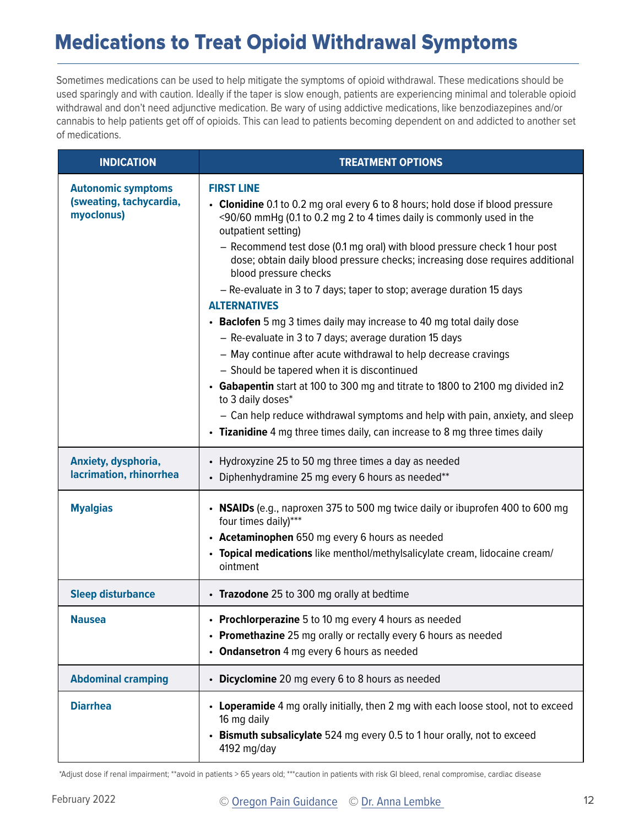## <span id="page-11-0"></span>Medications to Treat Opioid Withdrawal Symptoms

Sometimes medications can be used to help mitigate the symptoms of opioid withdrawal. These medications should be used sparingly and with caution. Ideally if the taper is slow enough, patients are experiencing minimal and tolerable opioid withdrawal and don't need adjunctive medication. Be wary of using addictive medications, like benzodiazepines and/or cannabis to help patients get off of opioids. This can lead to patients becoming dependent on and addicted to another set of medications.

| <b>INDICATION</b>                                                  | <b>TREATMENT OPTIONS</b>                                                                                                                                                                                                                                                                                                                                                                                                                                                                                                                                                                                                                                                                                                                                                                                                                                                                                                                                                                                             |
|--------------------------------------------------------------------|----------------------------------------------------------------------------------------------------------------------------------------------------------------------------------------------------------------------------------------------------------------------------------------------------------------------------------------------------------------------------------------------------------------------------------------------------------------------------------------------------------------------------------------------------------------------------------------------------------------------------------------------------------------------------------------------------------------------------------------------------------------------------------------------------------------------------------------------------------------------------------------------------------------------------------------------------------------------------------------------------------------------|
| <b>Autonomic symptoms</b><br>(sweating, tachycardia,<br>myoclonus) | <b>FIRST LINE</b><br>• Clonidine 0.1 to 0.2 mg oral every 6 to 8 hours; hold dose if blood pressure<br><90/60 mmHg (0.1 to 0.2 mg 2 to 4 times daily is commonly used in the<br>outpatient setting)<br>- Recommend test dose (0.1 mg oral) with blood pressure check 1 hour post<br>dose; obtain daily blood pressure checks; increasing dose requires additional<br>blood pressure checks<br>- Re-evaluate in 3 to 7 days; taper to stop; average duration 15 days<br><b>ALTERNATIVES</b><br>• Baclofen 5 mg 3 times daily may increase to 40 mg total daily dose<br>- Re-evaluate in 3 to 7 days; average duration 15 days<br>- May continue after acute withdrawal to help decrease cravings<br>- Should be tapered when it is discontinued<br>• Gabapentin start at 100 to 300 mg and titrate to 1800 to 2100 mg divided in2<br>to 3 daily doses*<br>- Can help reduce withdrawal symptoms and help with pain, anxiety, and sleep<br>• Tizanidine 4 mg three times daily, can increase to 8 mg three times daily |
| Anxiety, dysphoria,<br>lacrimation, rhinorrhea                     | • Hydroxyzine 25 to 50 mg three times a day as needed<br>• Diphenhydramine 25 mg every 6 hours as needed**                                                                                                                                                                                                                                                                                                                                                                                                                                                                                                                                                                                                                                                                                                                                                                                                                                                                                                           |
| <b>Myalgias</b>                                                    | • NSAIDs (e.g., naproxen 375 to 500 mg twice daily or ibuprofen 400 to 600 mg<br>four times daily)***<br>• Acetaminophen 650 mg every 6 hours as needed<br>• Topical medications like menthol/methylsalicylate cream, lidocaine cream/<br>ointment                                                                                                                                                                                                                                                                                                                                                                                                                                                                                                                                                                                                                                                                                                                                                                   |
| <b>Sleep disturbance</b>                                           | • Trazodone 25 to 300 mg orally at bedtime                                                                                                                                                                                                                                                                                                                                                                                                                                                                                                                                                                                                                                                                                                                                                                                                                                                                                                                                                                           |
| <b>Nausea</b>                                                      | <b>Prochlorperazine</b> 5 to 10 mg every 4 hours as needed<br>• Promethazine 25 mg orally or rectally every 6 hours as needed<br>• Ondansetron 4 mg every 6 hours as needed                                                                                                                                                                                                                                                                                                                                                                                                                                                                                                                                                                                                                                                                                                                                                                                                                                          |
| <b>Abdominal cramping</b>                                          | • Dicyclomine 20 mg every 6 to 8 hours as needed                                                                                                                                                                                                                                                                                                                                                                                                                                                                                                                                                                                                                                                                                                                                                                                                                                                                                                                                                                     |
| <b>Diarrhea</b>                                                    | • Loperamide 4 mg orally initially, then 2 mg with each loose stool, not to exceed<br>16 mg daily<br>• Bismuth subsalicylate 524 mg every 0.5 to 1 hour orally, not to exceed<br>4192 mg/day                                                                                                                                                                                                                                                                                                                                                                                                                                                                                                                                                                                                                                                                                                                                                                                                                         |

\*Adjust dose if renal impairment; \*\*avoid in patients > 65 years old; \*\*\*caution in patients with risk GI bleed, renal compromise, cardiac disease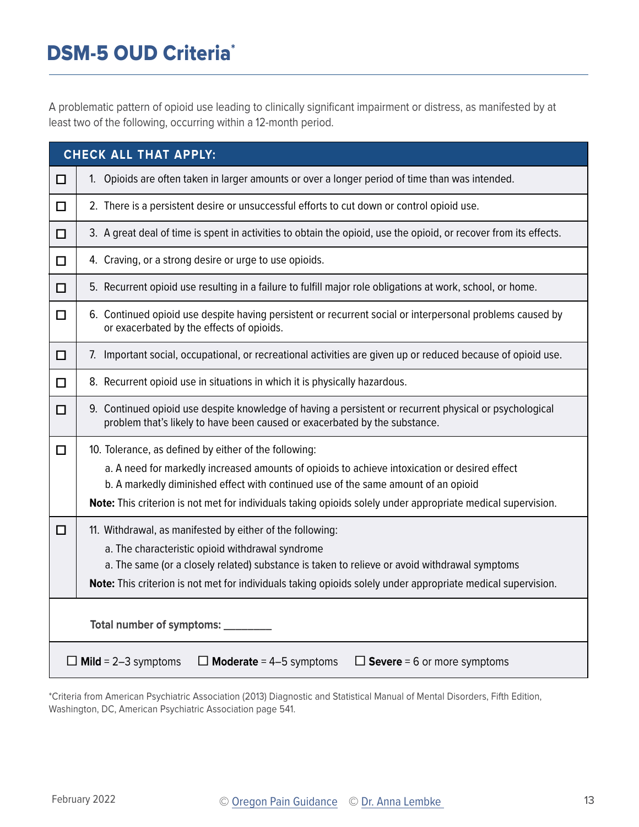## <span id="page-12-0"></span>DSM-5 OUD Criteria<sup>\*</sup>

A problematic pattern of opioid use leading to clinically significant impairment or distress, as manifested by at least two of the following, occurring within a 12-month period.

|        | <b>CHECK ALL THAT APPLY:</b>                                                                                                                                                                       |
|--------|----------------------------------------------------------------------------------------------------------------------------------------------------------------------------------------------------|
| □      | 1. Opioids are often taken in larger amounts or over a longer period of time than was intended.                                                                                                    |
| □      | 2. There is a persistent desire or unsuccessful efforts to cut down or control opioid use.                                                                                                         |
| $\Box$ | 3. A great deal of time is spent in activities to obtain the opioid, use the opioid, or recover from its effects.                                                                                  |
| □      | 4. Craving, or a strong desire or urge to use opioids.                                                                                                                                             |
| $\Box$ | 5. Recurrent opioid use resulting in a failure to fulfill major role obligations at work, school, or home.                                                                                         |
| □      | 6. Continued opioid use despite having persistent or recurrent social or interpersonal problems caused by<br>or exacerbated by the effects of opioids.                                             |
| П      | 7. Important social, occupational, or recreational activities are given up or reduced because of opioid use.                                                                                       |
| □      | 8. Recurrent opioid use in situations in which it is physically hazardous.                                                                                                                         |
| □      | 9. Continued opioid use despite knowledge of having a persistent or recurrent physical or psychological<br>problem that's likely to have been caused or exacerbated by the substance.              |
| П      | 10. Tolerance, as defined by either of the following:                                                                                                                                              |
|        | a. A need for markedly increased amounts of opioids to achieve intoxication or desired effect                                                                                                      |
|        | b. A markedly diminished effect with continued use of the same amount of an opioid<br>Note: This criterion is not met for individuals taking opioids solely under appropriate medical supervision. |
|        |                                                                                                                                                                                                    |
| □      | 11. Withdrawal, as manifested by either of the following:<br>a. The characteristic opioid withdrawal syndrome                                                                                      |
|        | a. The same (or a closely related) substance is taken to relieve or avoid withdrawal symptoms                                                                                                      |
|        | Note: This criterion is not met for individuals taking opioids solely under appropriate medical supervision.                                                                                       |
|        | Total number of symptoms: _____                                                                                                                                                                    |
| Ш      | $\Box$ Moderate = 4-5 symptoms<br>$\Box$ Severe = 6 or more symptoms<br><b>Mild</b> = $2-3$ symptoms                                                                                               |

\*Criteria from American Psychiatric Association (2013) Diagnostic and Statistical Manual of Mental Disorders, Fifth Edition, Washington, DC, American Psychiatric Association page 541.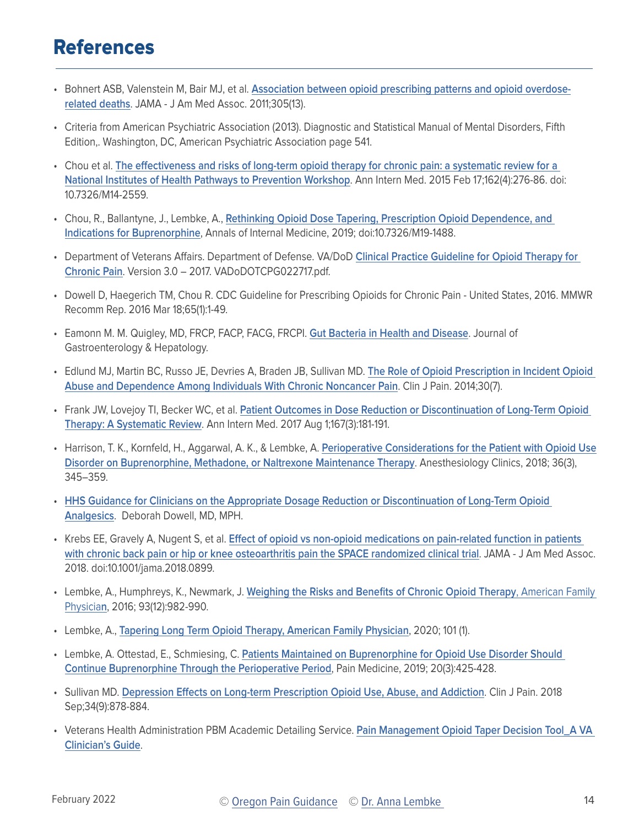## <span id="page-13-0"></span>References

- Bohnert ASB, Valenstein M, Bair MJ, et al. **[Association between opioid prescribing patterns and opioid overdose](https://www.ncbi.nlm.nih.gov/pubmed/21467284)[related deaths](https://www.ncbi.nlm.nih.gov/pubmed/21467284)**. JAMA - J Am Med Assoc. 2011;305(13).
- Criteria from American Psychiatric Association (2013). Diagnostic and Statistical Manual of Mental Disorders, Fifth Edition,. Washington, DC, American Psychiatric Association page 541.
- Chou et al. **[The effectiveness and risks of long-term opioid therapy for chronic pain: a systematic review for a](https://www.ncbi.nlm.nih.gov/pubmed/25581257)  [National Institutes of Health Pathways to Prevention Workshop](https://www.ncbi.nlm.nih.gov/pubmed/25581257)**. Ann Intern Med. 2015 Feb 17;162(4):276-86. doi: 10.7326/M14-2559.
- Chou, R., Ballantyne, J., Lembke, A., **[Rethinking Opioid Dose Tapering, Prescription Opioid Dependence, and](https://annals.org/aim/article-abstract/2748927/rethinking-opioid-dose-tapering-prescription-opioid-dependence-indications-buprenorphine)  [Indications for Buprenorphine](https://annals.org/aim/article-abstract/2748927/rethinking-opioid-dose-tapering-prescription-opioid-dependence-indications-buprenorphine)**, Annals of Internal Medicine, 2019; doi:10.7326/M19-1488.
- Department of Veterans Affairs. Department of Defense. VA/DoD **[Clinical Practice Guideline for Opioid Therapy for](https://www.healthquality.va.gov/guidelines/Pain/cot/)  [Chronic Pain](https://www.healthquality.va.gov/guidelines/Pain/cot/)**. Version 3.0 – 2017. VADoDOTCPG022717.pdf.
- Dowell D, Haegerich TM, Chou R. CDC Guideline for Prescribing Opioids for Chronic Pain United States, 2016. MMWR Recomm Rep. 2016 Mar 18;65(1):1-49.
- Eamonn M. M. Quigley, MD, FRCP, FACP, FACG, FRCPI. **[Gut Bacteria in Health and Disease](https://www.ncbi.nlm.nih.gov/pmc/articles/PMC3983973/ )**. Journal of Gastroenterology & Hepatology.
- Edlund MJ, Martin BC, Russo JE, Devries A, Braden JB, Sullivan MD. **[The Role of Opioid Prescription in Incident Opioid](https://www.ncbi.nlm.nih.gov/pubmed/24281273)  [Abuse and Dependence Among Individuals With Chronic Noncancer Pain](https://www.ncbi.nlm.nih.gov/pubmed/24281273)**. Clin J Pain. 2014;30(7).
- Frank JW, Lovejoy TI, Becker WC, et al. **[Patient Outcomes in Dose Reduction or Discontinuation of Long-Term Opioid](https://www.ncbi.nlm.nih.gov/pubmed/28715848)  [Therapy: A Systematic Review](https://www.ncbi.nlm.nih.gov/pubmed/28715848)**. Ann Intern Med. 2017 Aug 1;167(3):181-191.
- Harrison, T. K., Kornfeld, H., Aggarwal, A. K., & Lembke, A. **[Perioperative Considerations for the Patient with Opioid Use](https://www.anesthesiology.theclinics.com/article/S1932-2275(18)30045-4/fulltext)  [Disorder on Buprenorphine, Methadone, or Naltrexone Maintenance Therapy](https://www.anesthesiology.theclinics.com/article/S1932-2275(18)30045-4/fulltext)**. Anesthesiology Clinics, 2018; 36(3), 345–359.
- **[HHS Guidance for Clinicians on the Appropriate Dosage Reduction or Discontinuation of Long-Term Opioid](https://www.hhs.gov/opioids/sites/default/files/2019-10/8-Page%20version__HHS%20Guidance%20for%20Dosage%20Reduction%20or%20Discontinuation%20of%20Opioids.pdf)  [Analgesics](https://www.hhs.gov/opioids/sites/default/files/2019-10/8-Page%20version__HHS%20Guidance%20for%20Dosage%20Reduction%20or%20Discontinuation%20of%20Opioids.pdf)**. Deborah Dowell, MD, MPH.
- Krebs EE, Gravely A, Nugent S, et al. **[Effect of opioid vs non-opioid medications on pain-related function in patients](https://www.ncbi.nlm.nih.gov/pubmed/29509867)  [with chronic back pain or hip or knee osteoarthritis pain the SPACE randomized clinical trial](https://www.ncbi.nlm.nih.gov/pubmed/29509867)**. JAMA - J Am Med Assoc. 2018. doi:10.1001/jama.2018.0899.
- Lembke, A., Humphreys, K., Newmark, J. **[Weighing the Risks and Benefits of Chronic Opioid Therapy](https://www.aafp.org/afp/2016/0615/p982.html)**, American Family [Physicia](https://www.aafp.org/afp/2016/0615/p982.html)**n**, 2016; 93(12):982-990.
- Lembke, A., **[Tapering Long Term Opioid Therapy, American Family Physician](https://www.aafp.org/afp/2020/0101/p49.html)**, 2020; 101 (1).
- Lembke, A. Ottestad, E., Schmiesing, C. **[Patients Maintained on Buprenorphine for Opioid Use Disorder Should](https://academic.oup.com/painmedicine/article/20/3/425/4858540)  [Continue Buprenorphine Through the Perioperative Period](https://academic.oup.com/painmedicine/article/20/3/425/4858540)**, Pain Medicine, 2019; 20(3):425-428.
- Sullivan MD. **[Depression Effects on Long-term Prescription Opioid Use, Abuse, and Addiction](https://www.ncbi.nlm.nih.gov/pubmed/29505419)**. Clin J Pain. 2018 Sep;34(9):878-884.
- Veterans Health Administration PBM Academic Detailing Service. **[Pain Management Opioid Taper Decision Tool\\_A VA](https://www.pbm.va.gov/AcademicDetailingService/Documents/Pain_Opioid_Taper_Tool_IB_10_939_P96820.pdf)  [Clinician's Guide](https://www.pbm.va.gov/AcademicDetailingService/Documents/Pain_Opioid_Taper_Tool_IB_10_939_P96820.pdf)**.